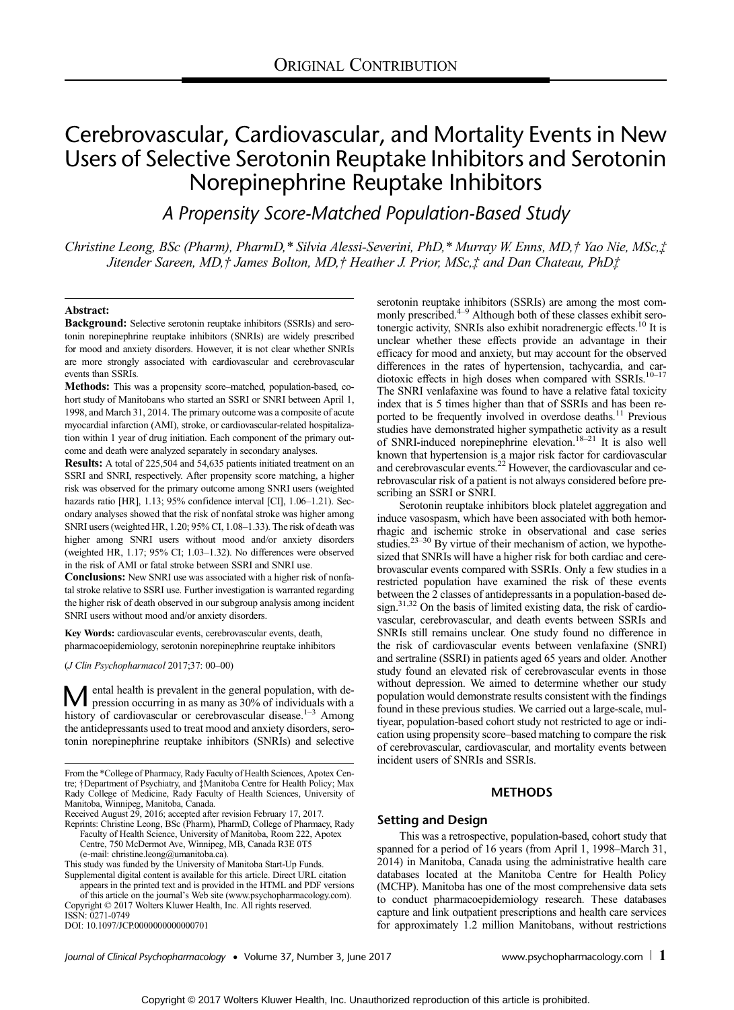# Cerebrovascular, Cardiovascular, and Mortality Events in New Users of Selective Serotonin Reuptake Inhibitors and Serotonin Norepinephrine Reuptake Inhibitors

A Propensity Score-Matched Population-Based Study

Christine Leong, BSc (Pharm), PharmD,\* Silvia Alessi-Severini, PhD,\* Murray W. Enns, MD,† Yao Nie, MSc,‡ Jitender Sareen, MD,† James Bolton, MD,† Heather J. Prior, MSc,‡ and Dan Chateau, PhD‡

# Abstract:

Background: Selective serotonin reuptake inhibitors (SSRIs) and serotonin norepinephrine reuptake inhibitors (SNRIs) are widely prescribed for mood and anxiety disorders. However, it is not clear whether SNRIs are more strongly associated with cardiovascular and cerebrovascular events than SSRIs.

Methods: This was a propensity score–matched, population-based, cohort study of Manitobans who started an SSRI or SNRI between April 1, 1998, and March 31, 2014. The primary outcome was a composite of acute myocardial infarction (AMI), stroke, or cardiovascular-related hospitalization within 1 year of drug initiation. Each component of the primary outcome and death were analyzed separately in secondary analyses.

Results: A total of 225,504 and 54,635 patients initiated treatment on an SSRI and SNRI, respectively. After propensity score matching, a higher risk was observed for the primary outcome among SNRI users (weighted hazards ratio [HR], 1.13; 95% confidence interval [CI], 1.06-1.21). Secondary analyses showed that the risk of nonfatal stroke was higher among SNRI users (weighted HR, 1.20; 95% CI, 1.08–1.33). The risk of death was higher among SNRI users without mood and/or anxiety disorders (weighted HR, 1.17; 95% CI; 1.03–1.32). No differences were observed in the risk of AMI or fatal stroke between SSRI and SNRI use.

Conclusions: New SNRI use was associated with a higher risk of nonfatal stroke relative to SSRI use. Further investigation is warranted regarding the higher risk of death observed in our subgroup analysis among incident SNRI users without mood and/or anxiety disorders.

Key Words: cardiovascular events, cerebrovascular events, death, pharmacoepidemiology, serotonin norepinephrine reuptake inhibitors

(J Clin Psychopharmacol 2017;37: 00–00)

**M** ental health is prevalent in the general population, with depression occurring in as many as 30% of individuals with a history of cardiovascular or cerebrovascular disease.<sup>1–3</sup> Among the antidepressants used to treat mood and anxiety disorders, serotonin norepinephrine reuptake inhibitors (SNRIs) and selective

Reprints: Christine Leong, BSc (Pharm), PharmD, College of Pharmacy, Rady Faculty of Health Science, University of Manitoba, Room 222, Apotex Centre, 750 McDermot Ave, Winnipeg, MB, Canada R3E 0T5

(e‐mail: [christine.leong@umanitoba.ca](mailto:christine.leong@umanitoba.ca)).

appears in the printed text and is provided in the HTML and PDF versions of this article on the journal's Web site [\(www.psychopharmacology.com\)](http://www.psychopharmacology.com). Copyright © 2017 Wolters Kluwer Health, Inc. All rights reserved.

ISSN: 0271-0749

DOI: 10.1097/JCP.0000000000000701

serotonin reuptake inhibitors (SSRIs) are among the most commonly prescribed.<sup>4–9</sup> Although both of these classes exhibit serotonergic activity, SNRIs also exhibit noradrenergic effects.<sup>10</sup> It is unclear whether these effects provide an advantage in their efficacy for mood and anxiety, but may account for the observed differences in the rates of hypertension, tachycardia, and cardiotoxic effects in high doses when compared with SSRIs.<sup>10-17</sup> The SNRI venlafaxine was found to have a relative fatal toxicity index that is 5 times higher than that of SSRIs and has been reported to be frequently involved in overdose deaths.<sup>11</sup> Previous studies have demonstrated higher sympathetic activity as a result of SNRI-induced norepinephrine elevation.<sup>18–21</sup> It is also well known that hypertension is a major risk factor for cardiovascular and cerebrovascular events.<sup>22</sup> However, the cardiovascular and cerebrovascular risk of a patient is not always considered before prescribing an SSRI or SNRI.

Serotonin reuptake inhibitors block platelet aggregation and induce vasospasm, which have been associated with both hemorrhagic and ischemic stroke in observational and case series studies.<sup>23–30</sup> By virtue of their mechanism of action, we hypothesized that SNRIs will have a higher risk for both cardiac and cerebrovascular events compared with SSRIs. Only a few studies in a restricted population have examined the risk of these events between the 2 classes of antidepressants in a population-based design. $31,32$  On the basis of limited existing data, the risk of cardiovascular, cerebrovascular, and death events between SSRIs and SNRIs still remains unclear. One study found no difference in the risk of cardiovascular events between venlafaxine (SNRI) and sertraline (SSRI) in patients aged 65 years and older. Another study found an elevated risk of cerebrovascular events in those without depression. We aimed to determine whether our study population would demonstrate results consistent with the findings found in these previous studies. We carried out a large-scale, multiyear, population-based cohort study not restricted to age or indication using propensity score–based matching to compare the risk of cerebrovascular, cardiovascular, and mortality events between incident users of SNRIs and SSRIs.

# **METHODS**

# Setting and Design

This was a retrospective, population-based, cohort study that spanned for a period of 16 years (from April 1, 1998–March 31, 2014) in Manitoba, Canada using the administrative health care databases located at the Manitoba Centre for Health Policy (MCHP). Manitoba has one of the most comprehensive data sets to conduct pharmacoepidemiology research. These databases capture and link outpatient prescriptions and health care services for approximately 1.2 million Manitobans, without restrictions

Journal of Clinical Psychopharmacology • Volume 37, Number 3, June 2017 [www.psychopharmacology.com](http://www.psychopharmacology.com) | 1

From the \*College of Pharmacy, Rady Faculty of Health Sciences, Apotex Centre; †Department of Psychiatry, and ‡Manitoba Centre for Health Policy; Max Rady College of Medicine, Rady Faculty of Health Sciences, University of Manitoba, Winnipeg, Manitoba, Canada. Received August 29, 2016; accepted after revision February 17, 2017.

This study was funded by the University of Manitoba Start-Up Funds. Supplemental digital content is available for this article. Direct URL citation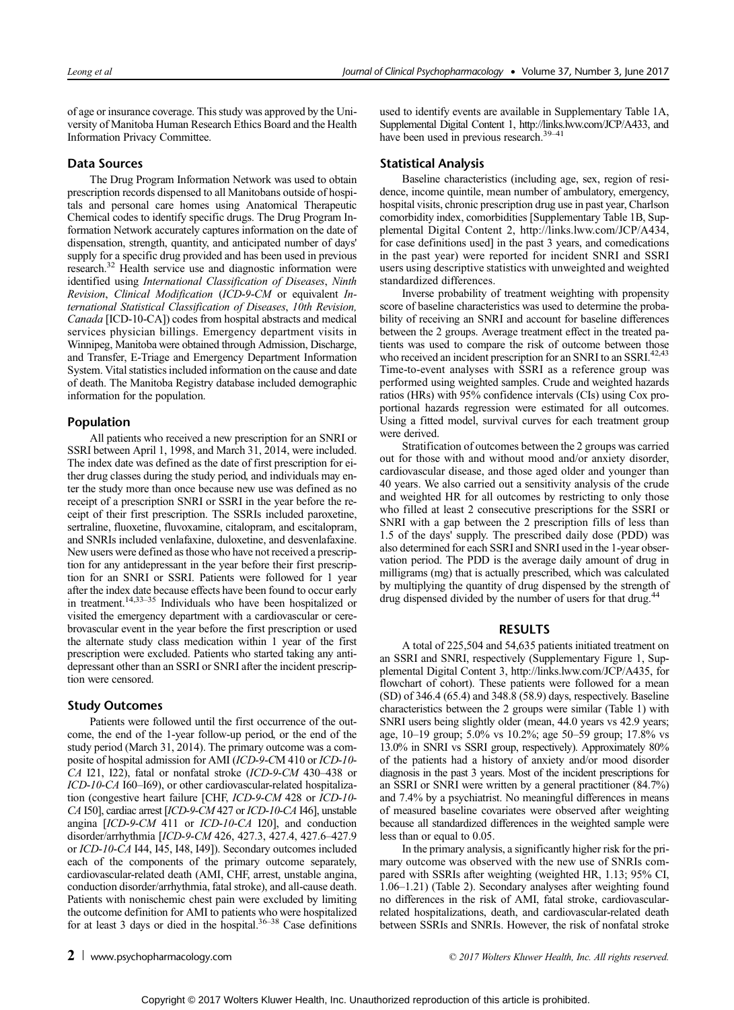of age or insurance coverage. This study was approved by the University of Manitoba Human Research Ethics Board and the Health Information Privacy Committee.

#### Data Sources

The Drug Program Information Network was used to obtain prescription records dispensed to all Manitobans outside of hospitals and personal care homes using Anatomical Therapeutic Chemical codes to identify specific drugs. The Drug Program Information Network accurately captures information on the date of dispensation, strength, quantity, and anticipated number of days' supply for a specific drug provided and has been used in previous research.<sup>32</sup> Health service use and diagnostic information were identified using International Classification of Diseases, Ninth Revision, Clinical Modification (ICD-9-CM or equivalent International Statistical Classification of Diseases, 10th Revision, Canada [ICD-10-CA]) codes from hospital abstracts and medical services physician billings. Emergency department visits in Winnipeg, Manitoba were obtained through Admission, Discharge, and Transfer, E-Triage and Emergency Department Information System. Vital statistics included information on the cause and date of death. The Manitoba Registry database included demographic information for the population.

# Population

All patients who received a new prescription for an SNRI or SSRI between April 1, 1998, and March 31, 2014, were included. The index date was defined as the date of first prescription for either drug classes during the study period, and individuals may enter the study more than once because new use was defined as no receipt of a prescription SNRI or SSRI in the year before the receipt of their first prescription. The SSRIs included paroxetine, sertraline, fluoxetine, fluvoxamine, citalopram, and escitalopram, and SNRIs included venlafaxine, duloxetine, and desvenlafaxine. New users were defined as those who have not received a prescription for any antidepressant in the year before their first prescription for an SNRI or SSRI. Patients were followed for 1 year after the index date because effects have been found to occur early in treatment.<sup>14,33–35</sup> Individuals who have been hospitalized or visited the emergency department with a cardiovascular or cerebrovascular event in the year before the first prescription or used the alternate study class medication within 1 year of the first prescription were excluded. Patients who started taking any antidepressant other than an SSRI or SNRI after the incident prescription were censored.

# Study Outcomes

Patients were followed until the first occurrence of the outcome, the end of the 1-year follow-up period, or the end of the study period (March 31, 2014). The primary outcome was a composite of hospital admission for AMI (ICD-9-CM 410 or ICD-10- CA I21, I22), fatal or nonfatal stroke (ICD-9-CM 430–438 or ICD-10-CA I60–I69), or other cardiovascular-related hospitalization (congestive heart failure [CHF, ICD-9-CM 428 or ICD-10- CA I50], cardiac arrest [ICD-9-CM 427 or ICD-10-CA I46], unstable angina [ICD-9-CM 411 or ICD-10-CA I20], and conduction disorder/arrhythmia [ICD-9-CM 426, 427.3, 427.4, 427.6–427.9 or ICD-10-CA I44, I45, I48, I49]). Secondary outcomes included each of the components of the primary outcome separately, cardiovascular-related death (AMI, CHF, arrest, unstable angina, conduction disorder/arrhythmia, fatal stroke), and all-cause death. Patients with nonischemic chest pain were excluded by limiting the outcome definition for AMI to patients who were hospitalized for at least 3 days or died in the hospital. $36-38$  Case definitions

used to identify events are available in Supplementary Table 1A, Supplemental Digital Content 1, [http://links.lww.com/JCP/A433,](http://links.lww.com/JCP/A433) and have been used in previous research.<sup>39–41</sup>

# Statistical Analysis

Baseline characteristics (including age, sex, region of residence, income quintile, mean number of ambulatory, emergency, hospital visits, chronic prescription drug use in past year, Charlson comorbidity index, comorbidities [Supplementary Table 1B, Supplemental Digital Content 2, [http://links.lww.com/JCP/A434,](http://links.lww.com/JCP/A434) for case definitions used] in the past 3 years, and comedications in the past year) were reported for incident SNRI and SSRI users using descriptive statistics with unweighted and weighted standardized differences.

Inverse probability of treatment weighting with propensity score of baseline characteristics was used to determine the probability of receiving an SNRI and account for baseline differences between the 2 groups. Average treatment effect in the treated patients was used to compare the risk of outcome between those who received an incident prescription for an SNRI to an SSRI.<sup>42,43</sup> Time-to-event analyses with SSRI as a reference group was performed using weighted samples. Crude and weighted hazards ratios (HRs) with 95% confidence intervals (CIs) using Cox proportional hazards regression were estimated for all outcomes. Using a fitted model, survival curves for each treatment group were derived.

Stratification of outcomes between the 2 groups was carried out for those with and without mood and/or anxiety disorder, cardiovascular disease, and those aged older and younger than 40 years. We also carried out a sensitivity analysis of the crude and weighted HR for all outcomes by restricting to only those who filled at least 2 consecutive prescriptions for the SSRI or SNRI with a gap between the 2 prescription fills of less than 1.5 of the days' supply. The prescribed daily dose (PDD) was also determined for each SSRI and SNRI used in the 1-year observation period. The PDD is the average daily amount of drug in milligrams (mg) that is actually prescribed, which was calculated by multiplying the quantity of drug dispensed by the strength of drug dispensed divided by the number of users for that drug.<sup>44</sup>

# RESULTS

A total of 225,504 and 54,635 patients initiated treatment on an SSRI and SNRI, respectively (Supplementary Figure 1, Supplemental Digital Content 3, [http://links.lww.com/JCP/A435,](http://links.lww.com/JCP/A435) for flowchart of cohort). These patients were followed for a mean (SD) of 346.4 (65.4) and 348.8 (58.9) days, respectively. Baseline characteristics between the 2 groups were similar (Table 1) with SNRI users being slightly older (mean, 44.0 years vs 42.9 years; age, 10–19 group; 5.0% vs 10.2%; age 50–59 group; 17.8% vs 13.0% in SNRI vs SSRI group, respectively). Approximately 80% of the patients had a history of anxiety and/or mood disorder diagnosis in the past 3 years. Most of the incident prescriptions for an SSRI or SNRI were written by a general practitioner (84.7%) and 7.4% by a psychiatrist. No meaningful differences in means of measured baseline covariates were observed after weighting because all standardized differences in the weighted sample were less than or equal to 0.05.

In the primary analysis, a significantly higher risk for the primary outcome was observed with the new use of SNRIs compared with SSRIs after weighting (weighted HR, 1.13; 95% CI, 1.06–1.21) (Table 2). Secondary analyses after weighting found no differences in the risk of AMI, fatal stroke, cardiovascularrelated hospitalizations, death, and cardiovascular-related death between SSRIs and SNRIs. However, the risk of nonfatal stroke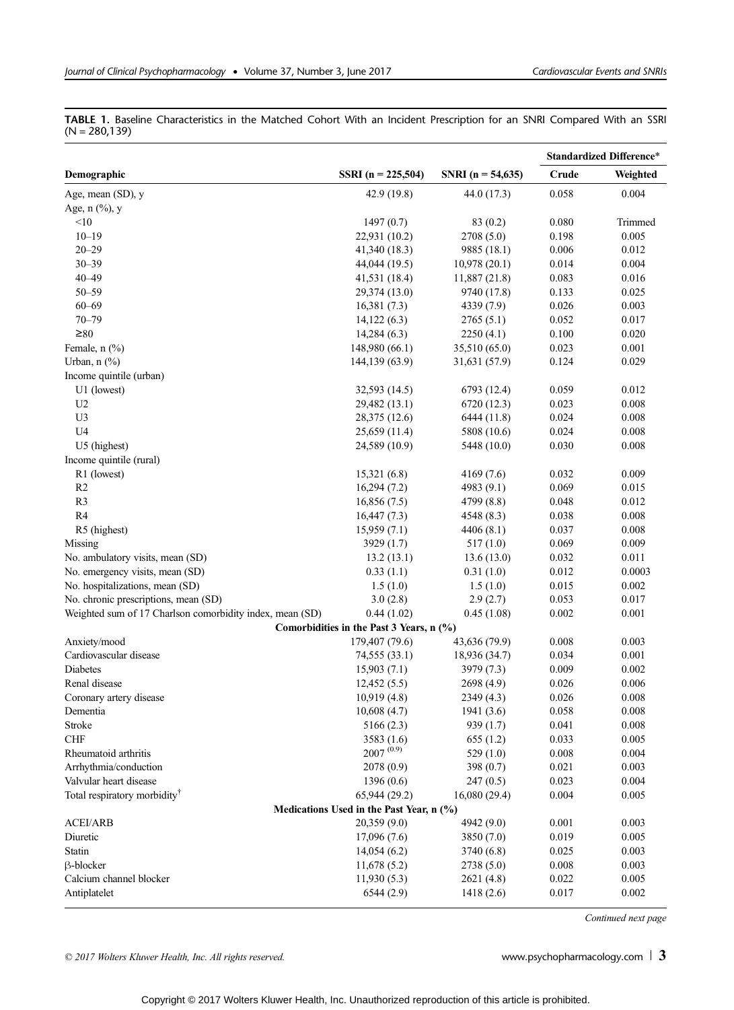TABLE 1. Baseline Characteristics in the Matched Cohort With an Incident Prescription for an SNRI Compared With an SSRI  $(N = 280, 139)$ 

|                                                          |                                          |                   | <b>Standardized Difference*</b> |          |
|----------------------------------------------------------|------------------------------------------|-------------------|---------------------------------|----------|
| Demographic                                              | SSRI (n = 225,504)                       | SNRI (n = 54,635) | Crude                           | Weighted |
| Age, mean (SD), y                                        | 42.9 (19.8)                              | 44.0 (17.3)       | 0.058                           | 0.004    |
| Age, $n$ $(\frac{9}{6})$ , y                             |                                          |                   |                                 |          |
| $<$ 10                                                   | 1497(0.7)                                | 83(0.2)           | 0.080                           | Trimmed  |
| $10 - 19$                                                | 22,931 (10.2)                            | 2708 (5.0)        | 0.198                           | 0.005    |
| $20 - 29$                                                | 41,340 (18.3)                            | 9885 (18.1)       | 0.006                           | 0.012    |
| $30 - 39$                                                | 44,044 (19.5)                            | 10,978(20.1)      | 0.014                           | 0.004    |
| $40 - 49$                                                | 41,531 (18.4)                            | 11,887 (21.8)     | 0.083                           | 0.016    |
| $50 - 59$                                                | 29,374 (13.0)                            | 9740 (17.8)       | 0.133                           | 0.025    |
| $60 - 69$                                                | 16,381(7.3)                              | 4339 (7.9)        | 0.026                           | 0.003    |
| $70 - 79$                                                | 14,122(6.3)                              | 2765(5.1)         | 0.052                           | 0.017    |
| $\geq 80$                                                | 14,284(6.3)                              | 2250(4.1)         | 0.100                           | 0.020    |
| Female, $n$ $(\%)$                                       | 148,980 (66.1)                           | 35,510 (65.0)     | 0.023                           | 0.001    |
| Urban, $n$ $(\%)$                                        | 144,139 (63.9)                           | 31,631 (57.9)     | 0.124                           | 0.029    |
| Income quintile (urban)                                  |                                          |                   |                                 |          |
| U1 (lowest)                                              | 32,593 (14.5)                            | 6793 (12.4)       | 0.059                           | 0.012    |
| U <sub>2</sub>                                           | 29,482 (13.1)                            | 6720 (12.3)       | 0.023                           | 0.008    |
| U3                                                       | 28,375 (12.6)                            | 6444 (11.8)       | 0.024                           | 0.008    |
| U <sub>4</sub>                                           |                                          |                   | 0.024                           | 0.008    |
|                                                          | 25,659 (11.4)                            | 5808 (10.6)       |                                 |          |
| U5 (highest)                                             | 24,589 (10.9)                            | 5448 (10.0)       | 0.030                           | 0.008    |
| Income quintile (rural)                                  |                                          |                   |                                 | 0.009    |
| R1 (lowest)                                              | 15,321(6.8)                              | 4169 (7.6)        | 0.032                           |          |
| R2                                                       | 16,294(7.2)                              | 4983 $(9.1)$      | 0.069                           | 0.015    |
| R <sub>3</sub>                                           | 16,856(7.5)                              | 4799 (8.8)        | 0.048                           | 0.012    |
| R4                                                       | 16,447(7.3)                              | 4548 (8.3)        | 0.038                           | 0.008    |
| R5 (highest)                                             | 15,959(7.1)                              | 4406(8.1)         | 0.037                           | 0.008    |
| Missing                                                  | 3929 (1.7)                               | 517(1.0)          | 0.069                           | 0.009    |
| No. ambulatory visits, mean (SD)                         | 13.2(13.1)                               | 13.6(13.0)        | 0.032                           | 0.011    |
| No. emergency visits, mean (SD)                          | 0.33(1.1)                                | 0.31(1.0)         | 0.012                           | 0.0003   |
| No. hospitalizations, mean (SD)                          | 1.5(1.0)                                 | 1.5(1.0)          | 0.015                           | 0.002    |
| No. chronic prescriptions, mean (SD)                     | 3.0(2.8)                                 | 2.9(2.7)          | 0.053                           | 0.017    |
| Weighted sum of 17 Charlson comorbidity index, mean (SD) | 0.44(1.02)                               | 0.45(1.08)        | 0.002                           | 0.001    |
|                                                          | Comorbidities in the Past 3 Years, n (%) |                   |                                 |          |
| Anxiety/mood                                             | 179,407 (79.6)                           | 43,636 (79.9)     | 0.008                           | 0.003    |
| Cardiovascular disease                                   | 74,555 (33.1)                            | 18,936 (34.7)     | 0.034                           | 0.001    |
| Diabetes                                                 | 15,903(7.1)                              | 3979 (7.3)        | 0.009                           | 0.002    |
| Renal disease                                            | 12,452(5.5)                              | 2698 (4.9)        | 0.026                           | 0.006    |
| Coronary artery disease                                  | 10,919 (4.8)                             | 2349 (4.3)        | 0.026                           | 0.008    |
| Dementia                                                 | 10,608(4.7)                              | 1941 (3.6)        | 0.058                           | 0.008    |
| Stroke                                                   | 5166(2.3)                                | 939 (1.7)         | 0.041                           | 0.008    |
| <b>CHF</b>                                               | 3583(1.6)                                | 655(1.2)          | 0.033                           | 0.005    |
| Rheumatoid arthritis                                     | $2007^{(0.9)}$                           | 529(1.0)          | 0.008                           | 0.004    |
| Arrhythmia/conduction                                    | 2078 (0.9)                               | 398 (0.7)         | 0.021                           | 0.003    |
| Valvular heart disease                                   | 1396(0.6)                                | 247(0.5)          | 0.023                           | 0.004    |
| Total respiratory morbidity <sup>†</sup>                 | 65,944 (29.2)                            | 16,080(29.4)      | 0.004                           | 0.005    |
|                                                          | Medications Used in the Past Year, n (%) |                   |                                 |          |
| <b>ACEI/ARB</b>                                          | 20,359(9.0)                              | 4942 (9.0)        | 0.001                           | 0.003    |
| Diuretic                                                 | 17,096(7.6)                              | 3850 (7.0)        | 0.019                           | 0.005    |
| Statin                                                   | 14,054(6.2)                              | 3740 (6.8)        | 0.025                           | 0.003    |
| <b>B-blocker</b>                                         | 11,678(5.2)                              | 2738 (5.0)        | 0.008                           | 0.003    |
| Calcium channel blocker                                  | 11,930(5.3)                              | 2621 (4.8)        | 0.022                           | 0.005    |
| Antiplatelet                                             | 6544(2.9)                                | 1418(2.6)         | 0.017                           | 0.002    |

Continued next page

© 2017 Wolters Kluwer Health, Inc. All rights reserved.  $\Box$  and  $\Box$  and  $\Box$  [www.psychopharmacology.com](http://www.psychopharmacology.com)  $\Box$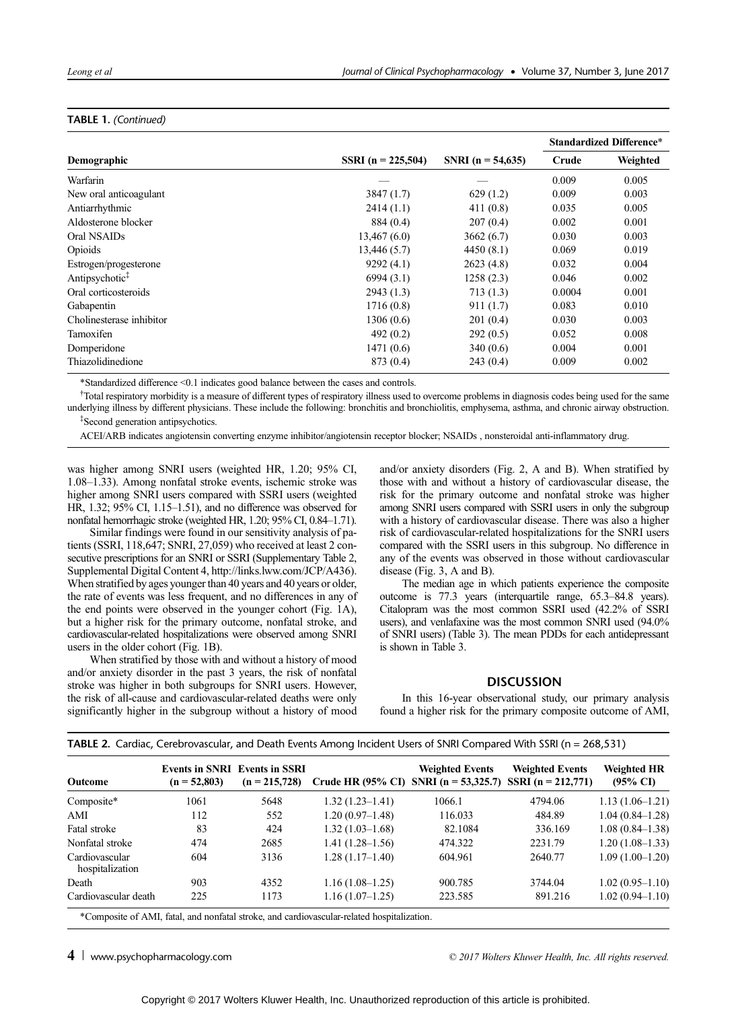# TABLE 1. (Continued)

|                            |                      |                       | <b>Standardized Difference*</b> |          |
|----------------------------|----------------------|-----------------------|---------------------------------|----------|
| Demographic                | SSRI $(n = 225,504)$ | SNRI ( $n = 54,635$ ) | Crude                           | Weighted |
| Warfarin                   |                      |                       | 0.009                           | 0.005    |
| New oral anticoagulant     | 3847(1.7)            | 629(1.2)              | 0.009                           | 0.003    |
| Antiarrhythmic             | 2414(1.1)            | 411(0.8)              | 0.035                           | 0.005    |
| Aldosterone blocker        | 884 (0.4)            | 207(0.4)              | 0.002                           | 0.001    |
| Oral NSAIDs                | 13,467(6.0)          | 3662(6.7)             | 0.030                           | 0.003    |
| Opioids                    | 13,446 (5.7)         | 4450(8.1)             | 0.069                           | 0.019    |
| Estrogen/progesterone      | 9292(4.1)            | 2623(4.8)             | 0.032                           | 0.004    |
| Antipsychotic <sup>‡</sup> | 6994(3.1)            | 1258(2.3)             | 0.046                           | 0.002    |
| Oral corticosteroids       | 2943(1.3)            | 713(1.3)              | 0.0004                          | 0.001    |
| Gabapentin                 | 1716(0.8)            | 911(1.7)              | 0.083                           | 0.010    |
| Cholinesterase inhibitor   | 1306(0.6)            | 201(0.4)              | 0.030                           | 0.003    |
| <b>Tamoxifen</b>           | 492(0.2)             | 292(0.5)              | 0.052                           | 0.008    |
| Domperidone                | 1471(0.6)            | 340(0.6)              | 0.004                           | 0.001    |
| Thiazolidinedione          | 873 (0.4)            | 243(0.4)              | 0.009                           | 0.002    |

\*Standardized difference <0.1 indicates good balance between the cases and controls.

† Total respiratory morbidity is a measure of different types of respiratory illness used to overcome problems in diagnosis codes being used for the same underlying illness by different physicians. These include the following: bronchitis and bronchiolitis, emphysema, asthma, and chronic airway obstruction. ‡ Second generation antipsychotics.

ACEI/ARB indicates angiotensin converting enzyme inhibitor/angiotensin receptor blocker; NSAIDs , nonsteroidal anti-inflammatory drug.

was higher among SNRI users (weighted HR, 1.20; 95% CI, 1.08–1.33). Among nonfatal stroke events, ischemic stroke was higher among SNRI users compared with SSRI users (weighted HR, 1.32; 95% CI, 1.15–1.51), and no difference was observed for nonfatal hemorrhagic stroke (weighted HR, 1.20; 95% CI, 0.84–1.71).

Similar findings were found in our sensitivity analysis of patients (SSRI, 118,647; SNRI, 27,059) who received at least 2 consecutive prescriptions for an SNRI or SSRI (Supplementary Table 2, Supplemental Digital Content 4, [http://links.lww.com/JCP/A436\)](http://links.lww.com/JCP/A436). When stratified by ages younger than 40 years and 40 years or older, the rate of events was less frequent, and no differences in any of the end points were observed in the younger cohort (Fig. 1A), but a higher risk for the primary outcome, nonfatal stroke, and cardiovascular-related hospitalizations were observed among SNRI users in the older cohort (Fig. 1B).

When stratified by those with and without a history of mood and/or anxiety disorder in the past 3 years, the risk of nonfatal stroke was higher in both subgroups for SNRI users. However, the risk of all-cause and cardiovascular-related deaths were only significantly higher in the subgroup without a history of mood and/or anxiety disorders (Fig. 2, A and B). When stratified by those with and without a history of cardiovascular disease, the risk for the primary outcome and nonfatal stroke was higher among SNRI users compared with SSRI users in only the subgroup with a history of cardiovascular disease. There was also a higher risk of cardiovascular-related hospitalizations for the SNRI users compared with the SSRI users in this subgroup. No difference in any of the events was observed in those without cardiovascular disease (Fig. 3, A and B).

The median age in which patients experience the composite outcome is 77.3 years (interquartile range, 65.3–84.8 years). Citalopram was the most common SSRI used (42.2% of SSRI users), and venlafaxine was the most common SNRI used (94.0% of SNRI users) (Table 3). The mean PDDs for each antidepressant is shown in Table 3.

#### **DISCUSSION**

In this 16-year observational study, our primary analysis found a higher risk for the primary composite outcome of AMI,

| $(n = 215,728)$             |                      | Crude HR (95% CI) SNRI (n = 53,325.7) SSRI (n = 212,771) | <b>Weighted HR</b><br>$(95\% \text{ CI})$ |
|-----------------------------|----------------------|----------------------------------------------------------|-------------------------------------------|
| $1.32(1.23 - 1.41)$<br>5648 | 1066.1               | 4794.06                                                  | $1.13(1.06-1.21)$                         |
| $1.20(0.97-1.48)$<br>552    | 116.033              | 484.89                                                   | $1.04(0.84 - 1.28)$                       |
| $1.32(1.03 - 1.68)$<br>424  | 82.1084              | 336.169                                                  | $1.08(0.84 - 1.38)$                       |
| $1.41(1.28-1.56)$<br>2685   | 474.322              | 2231.79                                                  | $1.20(1.08-1.33)$                         |
| $1.28(1.17-1.40)$           | 604.961              | 2640.77                                                  | $1.09(1.00-1.20)$                         |
| $1.16(1.08-1.25)$           | 900.785              | 3744.04                                                  | $1.02(0.95 - 1.10)$                       |
| $1.16(1.07-1.25)$           | 223.585              | 891.216                                                  | $1.02(0.94 - 1.10)$                       |
|                             | 3136<br>4352<br>1173 |                                                          |                                           |

TABLE 2. Cardiac, Cerebrovascular, and Death Events Among Incident Users of SNRI Compared With SSRI (n = 268,531)

\*Composite of AMI, fatal, and nonfatal stroke, and cardiovascular-related hospitalization.

4 [www.psychopharmacology.com](http://www.psychopharmacology.com)  $\degree$   $\degree$  2017 Wolters Kluwer Health, Inc. All rights reserved.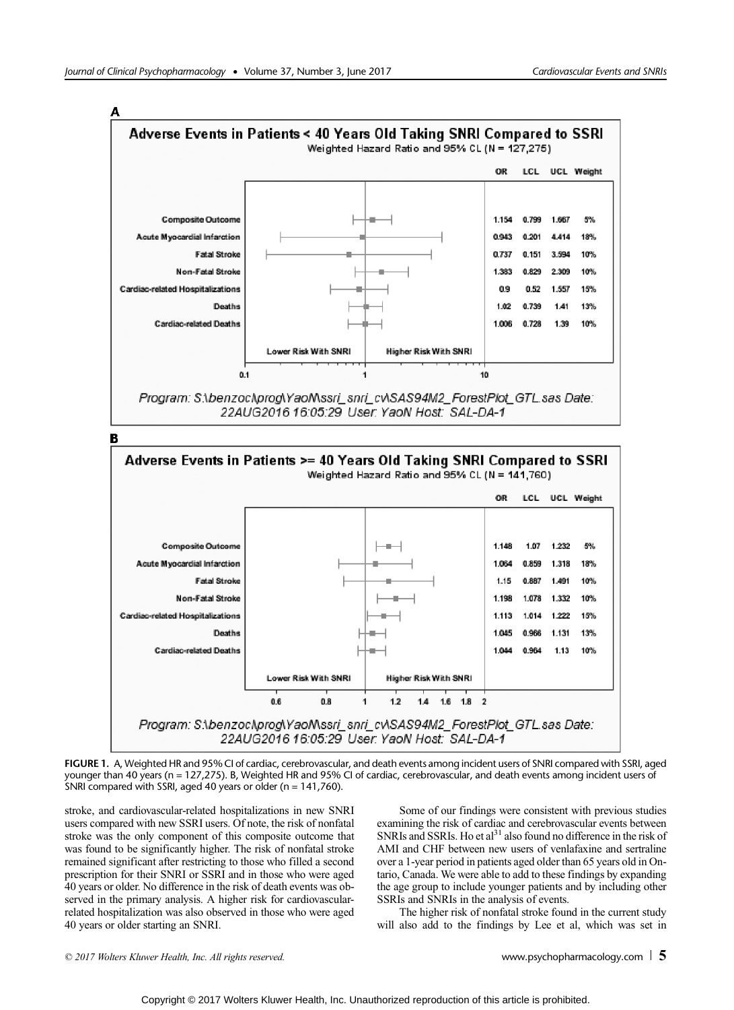

FIGURE 1. A, Weighted HR and 95% CI of cardiac, cerebrovascular, and death events among incident users of SNRI compared with SSRI, aged younger than 40 years (n = 127,275). B, Weighted HR and 95% CI of cardiac, cerebrovascular, and death events among incident users of SNRI compared with SSRI, aged 40 years or older (n = 141,760).

stroke, and cardiovascular-related hospitalizations in new SNRI users compared with new SSRI users. Of note, the risk of nonfatal stroke was the only component of this composite outcome that was found to be significantly higher. The risk of nonfatal stroke remained significant after restricting to those who filled a second prescription for their SNRI or SSRI and in those who were aged 40 years or older. No difference in the risk of death events was observed in the primary analysis. A higher risk for cardiovascularrelated hospitalization was also observed in those who were aged 40 years or older starting an SNRI.

Some of our findings were consistent with previous studies examining the risk of cardiac and cerebrovascular events between SNRIs and SSRIs. Ho et al<sup>31</sup> also found no difference in the risk of AMI and CHF between new users of venlafaxine and sertraline over a 1-year period in patients aged older than 65 years old in Ontario, Canada. We were able to add to these findings by expanding the age group to include younger patients and by including other SSRIs and SNRIs in the analysis of events.

The higher risk of nonfatal stroke found in the current study will also add to the findings by Lee et al, which was set in

© 2017 Wolters Kluwer Health, Inc. All rights reserved.  $\Box$  [www.psychopharmacology.com](http://www.psychopharmacology.com)  $\Box$  5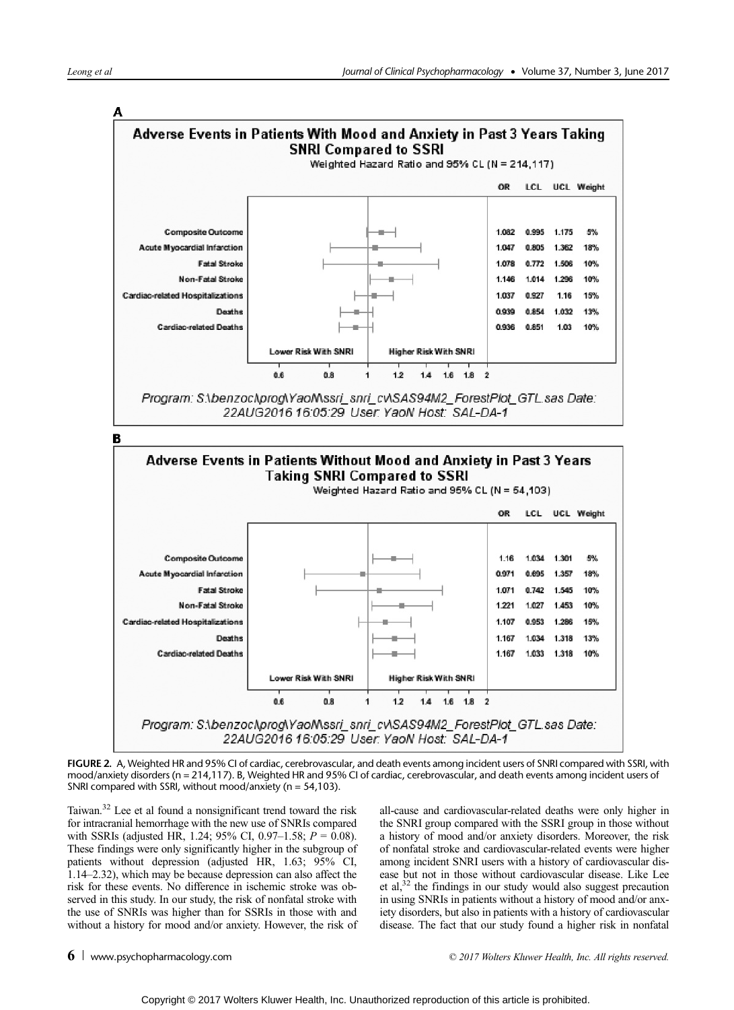

FIGURE 2. A, Weighted HR and 95% CI of cardiac, cerebrovascular, and death events among incident users of SNRI compared with SSRI, with mood/anxiety disorders (n = 214,117). B, Weighted HR and 95% CI of cardiac, cerebrovascular, and death events among incident users of SNRI compared with SSRI, without mood/anxiety (n = 54,103).

Taiwan.32 Lee et al found a nonsignificant trend toward the risk for intracranial hemorrhage with the new use of SNRIs compared with SSRIs (adjusted HR, 1.24; 95% CI, 0.97–1.58;  $P = 0.08$ ). These findings were only significantly higher in the subgroup of patients without depression (adjusted HR, 1.63; 95% CI, 1.14–2.32), which may be because depression can also affect the risk for these events. No difference in ischemic stroke was observed in this study. In our study, the risk of nonfatal stroke with the use of SNRIs was higher than for SSRIs in those with and without a history for mood and/or anxiety. However, the risk of all-cause and cardiovascular-related deaths were only higher in the SNRI group compared with the SSRI group in those without a history of mood and/or anxiety disorders. Moreover, the risk of nonfatal stroke and cardiovascular-related events were higher among incident SNRI users with a history of cardiovascular disease but not in those without cardiovascular disease. Like Lee et al, $32$  the findings in our study would also suggest precaution in using SNRIs in patients without a history of mood and/or anxiety disorders, but also in patients with a history of cardiovascular disease. The fact that our study found a higher risk in nonfatal

6 [www.psychopharmacology.com](http://www.psychopharmacology.com)  $\overline{6}$  www.psychopharmacology.com  $\overline{6}$  and  $\overline{2}$  and  $\overline{2}$  and  $\overline{2}$  and  $\overline{2}$  and  $\overline{2}$  and  $\overline{2}$  and  $\overline{2}$  and  $\overline{2}$  and  $\overline{2}$  and  $\overline{2}$  and  $\overline{2}$  and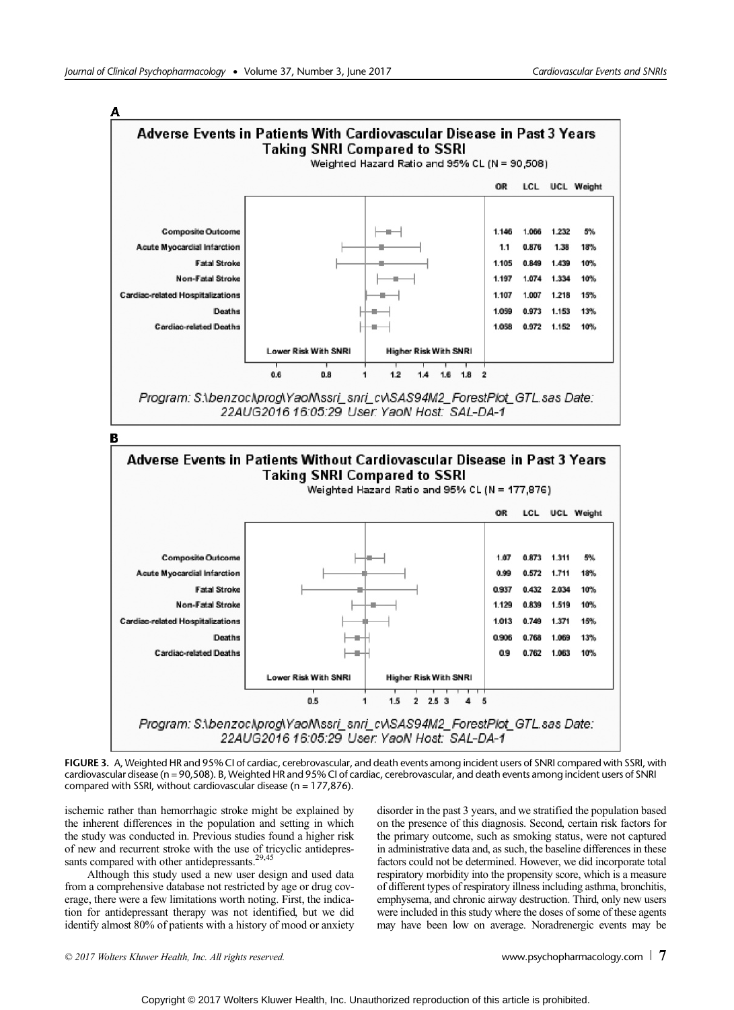

FIGURE 3. A, Weighted HR and 95% CI of cardiac, cerebrovascular, and death events among incident users of SNRI compared with SSRI, with cardiovascular disease (n = 90,508). B, Weighted HR and 95% CI of cardiac, cerebrovascular, and death events among incident users of SNRI compared with SSRI, without cardiovascular disease ( $n = 177,876$ ).

ischemic rather than hemorrhagic stroke might be explained by the inherent differences in the population and setting in which the study was conducted in. Previous studies found a higher risk of new and recurrent stroke with the use of tricyclic antidepressants compared with other antidepressants.<sup>29,45</sup>

Although this study used a new user design and used data from a comprehensive database not restricted by age or drug coverage, there were a few limitations worth noting. First, the indication for antidepressant therapy was not identified, but we did identify almost 80% of patients with a history of mood or anxiety disorder in the past 3 years, and we stratified the population based on the presence of this diagnosis. Second, certain risk factors for the primary outcome, such as smoking status, were not captured in administrative data and, as such, the baseline differences in these factors could not be determined. However, we did incorporate total respiratory morbidity into the propensity score, which is a measure of different types of respiratory illness including asthma, bronchitis, emphysema, and chronic airway destruction. Third, only new users were included in this study where the doses of some of these agents may have been low on average. Noradrenergic events may be

© 2017 Wolters Kluwer Health, Inc. All rights reserved.  $\Box$  [www.psychopharmacology.com](http://www.psychopharmacology.com)  $\Box$  7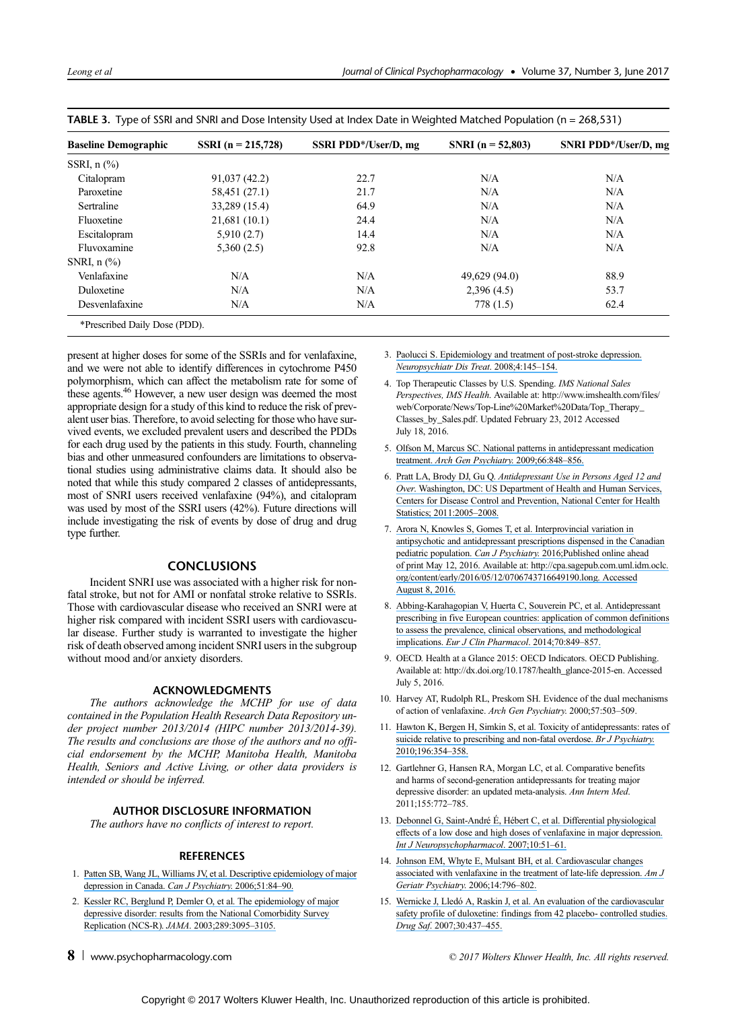| <b>Baseline Demographic</b>          | SSRI $(n = 215,728)$ | SSRI PDD*/User/D, mg | SNRI ( $n = 52,803$ ) | SNRI PDD*/User/D, mg |
|--------------------------------------|----------------------|----------------------|-----------------------|----------------------|
| SSRI, $n$ $\left(\frac{9}{6}\right)$ |                      |                      |                       |                      |
| Citalopram                           | 91,037(42.2)         | 22.7                 | N/A                   | N/A                  |
| Paroxetine                           | 58,451 (27.1)        | 21.7                 | N/A                   | N/A                  |
| Sertraline                           | 33,289 (15.4)        | 64.9                 | N/A                   | N/A                  |
| Fluoxetine                           | 21,681(10.1)         | 24.4                 | N/A                   | N/A                  |
| Escitalopram                         | 5,910(2.7)           | 14.4                 | N/A                   | N/A                  |
| Fluvoxamine                          | 5,360(2.5)           | 92.8                 | N/A                   | N/A                  |
| SNRI, $n$ $\left(\frac{9}{6}\right)$ |                      |                      |                       |                      |
| Venlafaxine                          | N/A                  | N/A                  | 49,629 (94.0)         | 88.9                 |
| Duloxetine                           | N/A                  | N/A                  | 2,396(4.5)            | 53.7                 |
| Desvenlafaxine                       | N/A                  | N/A                  | 778(1.5)              | 62.4                 |
| *Prescribed Daily Dose (PDD).        |                      |                      |                       |                      |

|  | TABLE 3. Type of SSRI and SNRI and Dose Intensity Used at Index Date in Weighted Matched Population (n = 268,531) |  |
|--|-------------------------------------------------------------------------------------------------------------------|--|
|  |                                                                                                                   |  |

present at higher doses for some of the SSRIs and for venlafaxine, and we were not able to identify differences in cytochrome P450 polymorphism, which can affect the metabolism rate for some of these agents.46 However, a new user design was deemed the most appropriate design for a study of this kind to reduce the risk of prevalent user bias. Therefore, to avoid selecting for those who have survived events, we excluded prevalent users and described the PDDs for each drug used by the patients in this study. Fourth, channeling bias and other unmeasured confounders are limitations to observational studies using administrative claims data. It should also be noted that while this study compared 2 classes of antidepressants, most of SNRI users received venlafaxine (94%), and citalopram was used by most of the SSRI users (42%). Future directions will include investigating the risk of events by dose of drug and drug type further.

# **CONCLUSIONS**

Incident SNRI use was associated with a higher risk for nonfatal stroke, but not for AMI or nonfatal stroke relative to SSRIs. Those with cardiovascular disease who received an SNRI were at higher risk compared with incident SSRI users with cardiovascular disease. Further study is warranted to investigate the higher risk of death observed among incident SNRI users in the subgroup without mood and/or anxiety disorders.

# ACKNOWLEDGMENTS

The authors acknowledge the MCHP for use of data contained in the Population Health Research Data Repository under project number 2013/2014 (HIPC number 2013/2014-39). The results and conclusions are those of the authors and no official endorsement by the MCHP, Manitoba Health, Manitoba Health, Seniors and Active Living, or other data providers is intended or should be inferred.

# AUTHOR DISCLOSURE INFORMATION

The authors have no conflicts of interest to report.

## **REFERENCES**

- 1. [Patten SB, Wang JL, Williams JV, et al. Descriptive epidemiology of major](https://www.researchgate.net/publication/6805526_Descriptive_Epidemiology_of_Major_Depression_in_Canada?el=1_x_8&enrichId=rgreq-18cefb0eca3384a04ffacbe657f3efdc-XXX&enrichSource=Y292ZXJQYWdlOzMxNTgxMzU1OTtBUzo0ODA2NDU3NTIzMzIyODhAMTQ5MTYwNjI4NTI3NQ==) [depression in Canada.](https://www.researchgate.net/publication/6805526_Descriptive_Epidemiology_of_Major_Depression_in_Canada?el=1_x_8&enrichId=rgreq-18cefb0eca3384a04ffacbe657f3efdc-XXX&enrichSource=Y292ZXJQYWdlOzMxNTgxMzU1OTtBUzo0ODA2NDU3NTIzMzIyODhAMTQ5MTYwNjI4NTI3NQ==) Can J Psychiatry. 2006;51:84–90.
- 2. [Kessler RC, Berglund P, Demler O, et al. The epidemiology of major](https://www.researchgate.net/publication/285729418_National_Comorbidity_Survey_Replication_the_epidemiology_of_major_depressive_disorder_results_from_the_National_Comorbidity_Survey_Replication_NCS-R?el=1_x_8&enrichId=rgreq-18cefb0eca3384a04ffacbe657f3efdc-XXX&enrichSource=Y292ZXJQYWdlOzMxNTgxMzU1OTtBUzo0ODA2NDU3NTIzMzIyODhAMTQ5MTYwNjI4NTI3NQ==) [depressive disorder: results from the National Comorbidity Survey](https://www.researchgate.net/publication/285729418_National_Comorbidity_Survey_Replication_the_epidemiology_of_major_depressive_disorder_results_from_the_National_Comorbidity_Survey_Replication_NCS-R?el=1_x_8&enrichId=rgreq-18cefb0eca3384a04ffacbe657f3efdc-XXX&enrichSource=Y292ZXJQYWdlOzMxNTgxMzU1OTtBUzo0ODA2NDU3NTIzMzIyODhAMTQ5MTYwNjI4NTI3NQ==) [Replication \(NCS-R\).](https://www.researchgate.net/publication/285729418_National_Comorbidity_Survey_Replication_the_epidemiology_of_major_depressive_disorder_results_from_the_National_Comorbidity_Survey_Replication_NCS-R?el=1_x_8&enrichId=rgreq-18cefb0eca3384a04ffacbe657f3efdc-XXX&enrichSource=Y292ZXJQYWdlOzMxNTgxMzU1OTtBUzo0ODA2NDU3NTIzMzIyODhAMTQ5MTYwNjI4NTI3NQ==) JAMA. 2003;289:3095–3105.
- 
- 3. [Paolucci S. Epidemiology and treatment of post-stroke depression.](https://www.researchgate.net/publication/23195455_Epidemiology_and_treatment_of_post-stroke_depression?el=1_x_8&enrichId=rgreq-18cefb0eca3384a04ffacbe657f3efdc-XXX&enrichSource=Y292ZXJQYWdlOzMxNTgxMzU1OTtBUzo0ODA2NDU3NTIzMzIyODhAMTQ5MTYwNjI4NTI3NQ==) [Neuropsychiatr Dis Treat](https://www.researchgate.net/publication/23195455_Epidemiology_and_treatment_of_post-stroke_depression?el=1_x_8&enrichId=rgreq-18cefb0eca3384a04ffacbe657f3efdc-XXX&enrichSource=Y292ZXJQYWdlOzMxNTgxMzU1OTtBUzo0ODA2NDU3NTIzMzIyODhAMTQ5MTYwNjI4NTI3NQ==). 2008;4:145–154.
- 4. Top Therapeutic Classes by U.S. Spending. IMS National Sales Perspectives, IMS Health. Available at: [http://www.imshealth.com/files/](http://www.imshealth.com/files/web/Corporate/News/Top-Line%20Market%20Data/Top_Therapy_Classes_by_Sales.pdf. Updated <b_k/>February<e_k/> 23, 2012) [web/Corporate/News/Top-Line%20Market%20Data/Top\\_Therapy\\_](http://www.imshealth.com/files/web/Corporate/News/Top-Line%20Market%20Data/Top_Therapy_Classes_by_Sales.pdf. Updated <b_k/>February<e_k/> 23, 2012) [Classes\\_by\\_Sales.pdf. Updated February 23, 2012](http://www.imshealth.com/files/web/Corporate/News/Top-Line%20Market%20Data/Top_Therapy_Classes_by_Sales.pdf. Updated <b_k/>February<e_k/> 23, 2012) Accessed July 18, 2016.
- 5. [Olfson M, Marcus SC. National patterns in antidepressant medication](https://www.researchgate.net/publication/26714399_National_Patterns_in_Antidepressant_Medication_Treatment?el=1_x_8&enrichId=rgreq-18cefb0eca3384a04ffacbe657f3efdc-XXX&enrichSource=Y292ZXJQYWdlOzMxNTgxMzU1OTtBUzo0ODA2NDU3NTIzMzIyODhAMTQ5MTYwNjI4NTI3NQ==) treatment. [Arch Gen Psychiatry](https://www.researchgate.net/publication/26714399_National_Patterns_in_Antidepressant_Medication_Treatment?el=1_x_8&enrichId=rgreq-18cefb0eca3384a04ffacbe657f3efdc-XXX&enrichSource=Y292ZXJQYWdlOzMxNTgxMzU1OTtBUzo0ODA2NDU3NTIzMzIyODhAMTQ5MTYwNjI4NTI3NQ==). 2009;66:848–856.
- 6. Pratt LA, Brody DJ, Gu Q. [Antidepressant Use in Persons Aged 12 and](https://www.researchgate.net/publication/290159283_Antidepressant_use_in_persons_aged_12_and_over_United_States?el=1_x_8&enrichId=rgreq-18cefb0eca3384a04ffacbe657f3efdc-XXX&enrichSource=Y292ZXJQYWdlOzMxNTgxMzU1OTtBUzo0ODA2NDU3NTIzMzIyODhAMTQ5MTYwNjI4NTI3NQ==) Over[. Washington, DC: US Department of Health and Human Services,](https://www.researchgate.net/publication/290159283_Antidepressant_use_in_persons_aged_12_and_over_United_States?el=1_x_8&enrichId=rgreq-18cefb0eca3384a04ffacbe657f3efdc-XXX&enrichSource=Y292ZXJQYWdlOzMxNTgxMzU1OTtBUzo0ODA2NDU3NTIzMzIyODhAMTQ5MTYwNjI4NTI3NQ==) [Centers for Disease Control and Prevention, National Center for Health](https://www.researchgate.net/publication/290159283_Antidepressant_use_in_persons_aged_12_and_over_United_States?el=1_x_8&enrichId=rgreq-18cefb0eca3384a04ffacbe657f3efdc-XXX&enrichSource=Y292ZXJQYWdlOzMxNTgxMzU1OTtBUzo0ODA2NDU3NTIzMzIyODhAMTQ5MTYwNjI4NTI3NQ==) [Statistics; 2011:2005](https://www.researchgate.net/publication/290159283_Antidepressant_use_in_persons_aged_12_and_over_United_States?el=1_x_8&enrichId=rgreq-18cefb0eca3384a04ffacbe657f3efdc-XXX&enrichSource=Y292ZXJQYWdlOzMxNTgxMzU1OTtBUzo0ODA2NDU3NTIzMzIyODhAMTQ5MTYwNjI4NTI3NQ==)–2008.
- 7. [Arora N, Knowles S, Gomes T, et al. Interprovincial variation in](https://www.researchgate.net/publication/303030406_Interprovincial_Variation_in_Antipsychotic_and_Antidepressant_Prescriptions_Dispensed_in_the_Canadian_Pediatric_Population?el=1_x_8&enrichId=rgreq-18cefb0eca3384a04ffacbe657f3efdc-XXX&enrichSource=Y292ZXJQYWdlOzMxNTgxMzU1OTtBUzo0ODA2NDU3NTIzMzIyODhAMTQ5MTYwNjI4NTI3NQ==) [antipsychotic and antidepressant prescriptions dispensed in the Canadian](https://www.researchgate.net/publication/303030406_Interprovincial_Variation_in_Antipsychotic_and_Antidepressant_Prescriptions_Dispensed_in_the_Canadian_Pediatric_Population?el=1_x_8&enrichId=rgreq-18cefb0eca3384a04ffacbe657f3efdc-XXX&enrichSource=Y292ZXJQYWdlOzMxNTgxMzU1OTtBUzo0ODA2NDU3NTIzMzIyODhAMTQ5MTYwNjI4NTI3NQ==) pediatric population. Can J Psychiatry[. 2016;Published online ahead](https://www.researchgate.net/publication/303030406_Interprovincial_Variation_in_Antipsychotic_and_Antidepressant_Prescriptions_Dispensed_in_the_Canadian_Pediatric_Population?el=1_x_8&enrichId=rgreq-18cefb0eca3384a04ffacbe657f3efdc-XXX&enrichSource=Y292ZXJQYWdlOzMxNTgxMzU1OTtBUzo0ODA2NDU3NTIzMzIyODhAMTQ5MTYwNjI4NTI3NQ==) [of print May 12, 2016. Available at:](https://www.researchgate.net/publication/303030406_Interprovincial_Variation_in_Antipsychotic_and_Antidepressant_Prescriptions_Dispensed_in_the_Canadian_Pediatric_Population?el=1_x_8&enrichId=rgreq-18cefb0eca3384a04ffacbe657f3efdc-XXX&enrichSource=Y292ZXJQYWdlOzMxNTgxMzU1OTtBUzo0ODA2NDU3NTIzMzIyODhAMTQ5MTYwNjI4NTI3NQ==) [http://cpa.sagepub.com.uml.idm.oclc.](http://cpa.sagepub.com.uml.idm.oclc.org/content/early/2016/05/12/0706743716649190.long) [org/content/early/2016/05/12/0706743716649190.lon](http://cpa.sagepub.com.uml.idm.oclc.org/content/early/2016/05/12/0706743716649190.long)[g. Accessed](https://www.researchgate.net/publication/303030406_Interprovincial_Variation_in_Antipsychotic_and_Antidepressant_Prescriptions_Dispensed_in_the_Canadian_Pediatric_Population?el=1_x_8&enrichId=rgreq-18cefb0eca3384a04ffacbe657f3efdc-XXX&enrichSource=Y292ZXJQYWdlOzMxNTgxMzU1OTtBUzo0ODA2NDU3NTIzMzIyODhAMTQ5MTYwNjI4NTI3NQ==) [August 8, 2016.](https://www.researchgate.net/publication/303030406_Interprovincial_Variation_in_Antipsychotic_and_Antidepressant_Prescriptions_Dispensed_in_the_Canadian_Pediatric_Population?el=1_x_8&enrichId=rgreq-18cefb0eca3384a04ffacbe657f3efdc-XXX&enrichSource=Y292ZXJQYWdlOzMxNTgxMzU1OTtBUzo0ODA2NDU3NTIzMzIyODhAMTQ5MTYwNjI4NTI3NQ==)
- 8. [Abbing-Karahagopian V, Huerta C, Souverein PC, et al. Antidepressant](https://www.researchgate.net/publication/262051759_Antidepressant_prescribing_in_five_European_countries_Application_of_common_definitions_to_assess_the_prevalence_clinical_observations_and_methodological_implications?el=1_x_8&enrichId=rgreq-18cefb0eca3384a04ffacbe657f3efdc-XXX&enrichSource=Y292ZXJQYWdlOzMxNTgxMzU1OTtBUzo0ODA2NDU3NTIzMzIyODhAMTQ5MTYwNjI4NTI3NQ==) [prescribing in five European countries: application of common definitions](https://www.researchgate.net/publication/262051759_Antidepressant_prescribing_in_five_European_countries_Application_of_common_definitions_to_assess_the_prevalence_clinical_observations_and_methodological_implications?el=1_x_8&enrichId=rgreq-18cefb0eca3384a04ffacbe657f3efdc-XXX&enrichSource=Y292ZXJQYWdlOzMxNTgxMzU1OTtBUzo0ODA2NDU3NTIzMzIyODhAMTQ5MTYwNjI4NTI3NQ==) [to assess the prevalence, clinical observations, and methodological](https://www.researchgate.net/publication/262051759_Antidepressant_prescribing_in_five_European_countries_Application_of_common_definitions_to_assess_the_prevalence_clinical_observations_and_methodological_implications?el=1_x_8&enrichId=rgreq-18cefb0eca3384a04ffacbe657f3efdc-XXX&enrichSource=Y292ZXJQYWdlOzMxNTgxMzU1OTtBUzo0ODA2NDU3NTIzMzIyODhAMTQ5MTYwNjI4NTI3NQ==) implications. [Eur J Clin Pharmacol](https://www.researchgate.net/publication/262051759_Antidepressant_prescribing_in_five_European_countries_Application_of_common_definitions_to_assess_the_prevalence_clinical_observations_and_methodological_implications?el=1_x_8&enrichId=rgreq-18cefb0eca3384a04ffacbe657f3efdc-XXX&enrichSource=Y292ZXJQYWdlOzMxNTgxMzU1OTtBUzo0ODA2NDU3NTIzMzIyODhAMTQ5MTYwNjI4NTI3NQ==). 2014;70:849–857.
- 9. OECD. Health at a Glance 2015: OECD Indicators. OECD Publishing. Available at: [http://dx.doi.org/10.1787/health\\_glance-2015-en.](http://dx.doi.org/10.1787/health_glance-2015-en) Accessed July 5, 2016.
- 10. Harvey AT, Rudolph RL, Preskom SH. Evidence of the dual mechanisms of action of venlafaxine. Arch Gen Psychiatry. 2000;57:503–509.
- 11. [Hawton K, Bergen H, Simkin S, et al. Toxicity of antidepressants: rates of](https://www.researchgate.net/publication/43534949_Toxicity_of_antidepressants_Rates_of_suicide_relative_to_prescribing_and_non-fatal_overdose?el=1_x_8&enrichId=rgreq-18cefb0eca3384a04ffacbe657f3efdc-XXX&enrichSource=Y292ZXJQYWdlOzMxNTgxMzU1OTtBUzo0ODA2NDU3NTIzMzIyODhAMTQ5MTYwNjI4NTI3NQ==) [suicide relative to prescribing and non-fatal overdose.](https://www.researchgate.net/publication/43534949_Toxicity_of_antidepressants_Rates_of_suicide_relative_to_prescribing_and_non-fatal_overdose?el=1_x_8&enrichId=rgreq-18cefb0eca3384a04ffacbe657f3efdc-XXX&enrichSource=Y292ZXJQYWdlOzMxNTgxMzU1OTtBUzo0ODA2NDU3NTIzMzIyODhAMTQ5MTYwNjI4NTI3NQ==) Br J Psychiatry. [2010;196:354](https://www.researchgate.net/publication/43534949_Toxicity_of_antidepressants_Rates_of_suicide_relative_to_prescribing_and_non-fatal_overdose?el=1_x_8&enrichId=rgreq-18cefb0eca3384a04ffacbe657f3efdc-XXX&enrichSource=Y292ZXJQYWdlOzMxNTgxMzU1OTtBUzo0ODA2NDU3NTIzMzIyODhAMTQ5MTYwNjI4NTI3NQ==)–358.
- 12. Gartlehner G, Hansen RA, Morgan LC, et al. Comparative benefits and harms of second-generation antidepressants for treating major depressive disorder: an updated meta-analysis. Ann Intern Med. 2011;155:772–785.
- 13. [Debonnel G, Saint-André É, Hébert C, et al. Differential physiological](https://www.researchgate.net/publication/7091344_Differential_physiological_effects_of_a_low_dose_and_high_doses_of_venlafaxine_in_major_depression?el=1_x_8&enrichId=rgreq-18cefb0eca3384a04ffacbe657f3efdc-XXX&enrichSource=Y292ZXJQYWdlOzMxNTgxMzU1OTtBUzo0ODA2NDU3NTIzMzIyODhAMTQ5MTYwNjI4NTI3NQ==) [effects of a low dose and high doses of venlafaxine in major depression.](https://www.researchgate.net/publication/7091344_Differential_physiological_effects_of_a_low_dose_and_high_doses_of_venlafaxine_in_major_depression?el=1_x_8&enrichId=rgreq-18cefb0eca3384a04ffacbe657f3efdc-XXX&enrichSource=Y292ZXJQYWdlOzMxNTgxMzU1OTtBUzo0ODA2NDU3NTIzMzIyODhAMTQ5MTYwNjI4NTI3NQ==) [Int J Neuropsychopharmacol](https://www.researchgate.net/publication/7091344_Differential_physiological_effects_of_a_low_dose_and_high_doses_of_venlafaxine_in_major_depression?el=1_x_8&enrichId=rgreq-18cefb0eca3384a04ffacbe657f3efdc-XXX&enrichSource=Y292ZXJQYWdlOzMxNTgxMzU1OTtBUzo0ODA2NDU3NTIzMzIyODhAMTQ5MTYwNjI4NTI3NQ==). 2007;10:51–61.
- 14. [Johnson EM, Whyte E, Mulsant BH, et al. Cardiovascular changes](https://www.researchgate.net/publication/6845960_Cardiovascular_Changes_Associated_With_Venlafaxine_in_the_Treatment_of_Late-Life_Depression?el=1_x_8&enrichId=rgreq-18cefb0eca3384a04ffacbe657f3efdc-XXX&enrichSource=Y292ZXJQYWdlOzMxNTgxMzU1OTtBUzo0ODA2NDU3NTIzMzIyODhAMTQ5MTYwNjI4NTI3NQ==) [associated with venlafaxine in the treatment of late-life depression.](https://www.researchgate.net/publication/6845960_Cardiovascular_Changes_Associated_With_Venlafaxine_in_the_Treatment_of_Late-Life_Depression?el=1_x_8&enrichId=rgreq-18cefb0eca3384a04ffacbe657f3efdc-XXX&enrichSource=Y292ZXJQYWdlOzMxNTgxMzU1OTtBUzo0ODA2NDU3NTIzMzIyODhAMTQ5MTYwNjI4NTI3NQ==) Am J [Geriatr Psychiatry](https://www.researchgate.net/publication/6845960_Cardiovascular_Changes_Associated_With_Venlafaxine_in_the_Treatment_of_Late-Life_Depression?el=1_x_8&enrichId=rgreq-18cefb0eca3384a04ffacbe657f3efdc-XXX&enrichSource=Y292ZXJQYWdlOzMxNTgxMzU1OTtBUzo0ODA2NDU3NTIzMzIyODhAMTQ5MTYwNjI4NTI3NQ==). 2006;14:796–802.
- 15. [Wernicke J, Lledó A, Raskin J, et al. An evaluation of the cardiovascular](https://www.researchgate.net/publication/6358519_An_Evaluation_of_the_Cardiovascular_Safety_Profile_of_Duloxetine?el=1_x_8&enrichId=rgreq-18cefb0eca3384a04ffacbe657f3efdc-XXX&enrichSource=Y292ZXJQYWdlOzMxNTgxMzU1OTtBUzo0ODA2NDU3NTIzMzIyODhAMTQ5MTYwNjI4NTI3NQ==) [safety profile of duloxetine: findings from 42 placebo- controlled studies.](https://www.researchgate.net/publication/6358519_An_Evaluation_of_the_Cardiovascular_Safety_Profile_of_Duloxetine?el=1_x_8&enrichId=rgreq-18cefb0eca3384a04ffacbe657f3efdc-XXX&enrichSource=Y292ZXJQYWdlOzMxNTgxMzU1OTtBUzo0ODA2NDU3NTIzMzIyODhAMTQ5MTYwNjI4NTI3NQ==) Drug Saf[. 2007;30:437](https://www.researchgate.net/publication/6358519_An_Evaluation_of_the_Cardiovascular_Safety_Profile_of_Duloxetine?el=1_x_8&enrichId=rgreq-18cefb0eca3384a04ffacbe657f3efdc-XXX&enrichSource=Y292ZXJQYWdlOzMxNTgxMzU1OTtBUzo0ODA2NDU3NTIzMzIyODhAMTQ5MTYwNjI4NTI3NQ==)–455.

8 [www.psychopharmacology.com](http://www.psychopharmacology.com)  $\degree$  8 www.psychopharmacology.com  $\degree$  2017 Wolters Kluwer Health, Inc. All rights reserved.